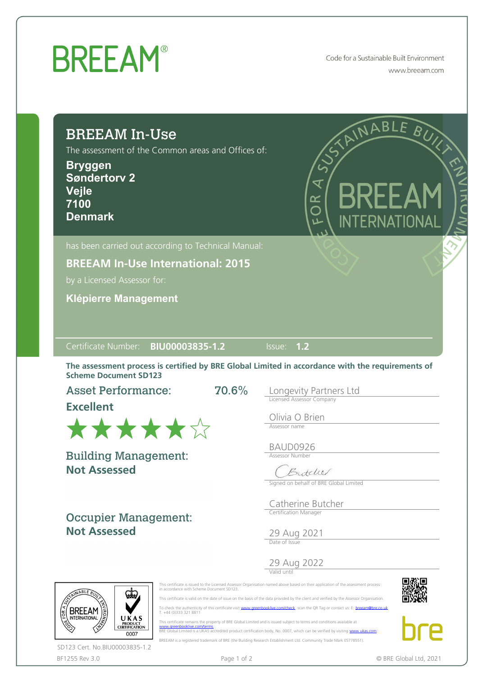## **BREEAM®**

Code for a Sustainable Built Environment www.breeam.com

| <b>BREEAM In-Use</b><br>The assessment of the Common areas and Offices of:<br><b>Bryggen</b><br><b>Søndertorv 2</b><br>Vejle<br>7100<br><b>Denmark</b> | RICHMABLE BUYL<br><b>BREEA</b><br>OR<br>O<br>INTERNATIONAL                                                                                |
|--------------------------------------------------------------------------------------------------------------------------------------------------------|-------------------------------------------------------------------------------------------------------------------------------------------|
| has been carried out according to Technical Manual:<br><b>BREEAM In-Use International: 2015</b>                                                        |                                                                                                                                           |
| by a Licensed Assessor for:                                                                                                                            |                                                                                                                                           |
| <b>Klépierre Management</b>                                                                                                                            |                                                                                                                                           |
|                                                                                                                                                        |                                                                                                                                           |
| Certificate Number: BIU00003835-1.2                                                                                                                    | $\overline{\mathsf{llsue:}}$ 1.2                                                                                                          |
| <b>Scheme Document SD123</b>                                                                                                                           | The assessment process is certified by BRE Global Limited in accordance with the requirements of                                          |
| <b>Asset Performance:</b>                                                                                                                              | 70.6%<br>Longevity Partners Ltd                                                                                                           |
| <b>Excellent</b>                                                                                                                                       | <b>Licensed Assessor Company</b>                                                                                                          |
|                                                                                                                                                        | Olivia O Brien                                                                                                                            |
|                                                                                                                                                        |                                                                                                                                           |
| ******                                                                                                                                                 | Assessor name                                                                                                                             |
|                                                                                                                                                        | BAUD0926<br><b>Assessor Number</b>                                                                                                        |
| <b>Building Management:</b><br><b>Not Assessed</b>                                                                                                     | $\widehat{\phantom{m}}$<br>Butche                                                                                                         |
|                                                                                                                                                        | Signed on behalf of BRE Global Limited                                                                                                    |
|                                                                                                                                                        | Catherine Butcher                                                                                                                         |
| <b>Occupier Management:</b>                                                                                                                            | Certification Manager                                                                                                                     |
| <b>Not Assessed</b>                                                                                                                                    | 29 Aug 2021                                                                                                                               |
|                                                                                                                                                        | Date of Issue                                                                                                                             |
|                                                                                                                                                        | 29 Aug 2022                                                                                                                               |
|                                                                                                                                                        | This certificate is issued to the Licensed Assessor Organisation named above based on their application of the assessment process         |
| in accordance with Scheme Document SD123.<br>ABLE B                                                                                                    | This certificate is valid on the date of issue on the basis of the data provided by the client and verified by the Assessor Organisation. |
| T. +44 (0)333 321 8811<br><b>INTERNATIONAL</b><br>UKAS                                                                                                 | To check the authenticity of this certificate visit: www.greenbooklive.com/check, scan the QR Tag or contact us: Exbreeam@bre.co.uk       |

BF1255 Rev 3.0 **Page 1 of 2** Page 1 of 2 **C** BRE Global Ltd, 2021 SD123 Cert. No.BIU00003835-1.2